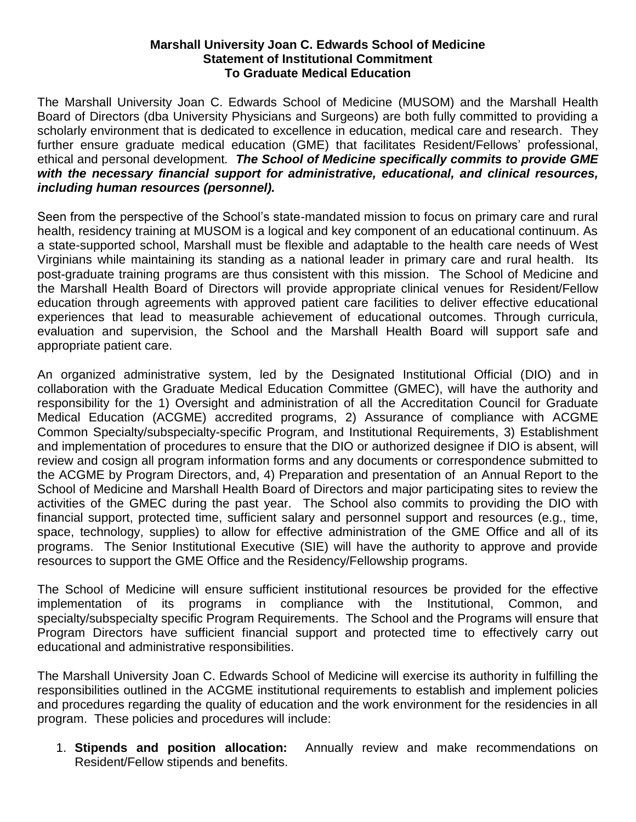## **Marshall University Joan C. Edwards School of Medicine Statement of Institutional Commitment To Graduate Medical Education**

The Marshall University Joan C. Edwards School of Medicine (MUSOM) and the Marshall Health Board of Directors (dba University Physicians and Surgeons) are both fully committed to providing a scholarly environment that is dedicated to excellence in education, medical care and research. They further ensure graduate medical education (GME) that facilitates Resident/Fellows' professional, ethical and personal development*. The School of Medicine specifically commits to provide GME with the necessary financial support for administrative, educational, and clinical resources, including human resources (personnel).*

Seen from the perspective of the School's state-mandated mission to focus on primary care and rural health, residency training at MUSOM is a logical and key component of an educational continuum. As a state-supported school, Marshall must be flexible and adaptable to the health care needs of West Virginians while maintaining its standing as a national leader in primary care and rural health. Its post-graduate training programs are thus consistent with this mission. The School of Medicine and the Marshall Health Board of Directors will provide appropriate clinical venues for Resident/Fellow education through agreements with approved patient care facilities to deliver effective educational experiences that lead to measurable achievement of educational outcomes. Through curricula, evaluation and supervision, the School and the Marshall Health Board will support safe and appropriate patient care.

An organized administrative system, led by the Designated Institutional Official (DIO) and in collaboration with the Graduate Medical Education Committee (GMEC), will have the authority and responsibility for the 1) Oversight and administration of all the Accreditation Council for Graduate Medical Education (ACGME) accredited programs, 2) Assurance of compliance with ACGME Common Specialty/subspecialty-specific Program, and Institutional Requirements, 3) Establishment and implementation of procedures to ensure that the DIO or authorized designee if DIO is absent, will review and cosign all program information forms and any documents or correspondence submitted to the ACGME by Program Directors, and, 4) Preparation and presentation of an Annual Report to the School of Medicine and Marshall Health Board of Directors and major participating sites to review the activities of the GMEC during the past year. The School also commits to providing the DIO with financial support, protected time, sufficient salary and personnel support and resources (e.g., time, space, technology, supplies) to allow for effective administration of the GME Office and all of its programs. The Senior Institutional Executive (SIE) will have the authority to approve and provide resources to support the GME Office and the Residency/Fellowship programs.

The School of Medicine will ensure sufficient institutional resources be provided for the effective implementation of its programs in compliance with the Institutional, Common, and specialty/subspecialty specific Program Requirements. The School and the Programs will ensure that Program Directors have sufficient financial support and protected time to effectively carry out educational and administrative responsibilities.

The Marshall University Joan C. Edwards School of Medicine will exercise its authority in fulfilling the responsibilities outlined in the ACGME institutional requirements to establish and implement policies and procedures regarding the quality of education and the work environment for the residencies in all program. These policies and procedures will include:

1. **Stipends and position allocation:** Annually review and make recommendations on Resident/Fellow stipends and benefits.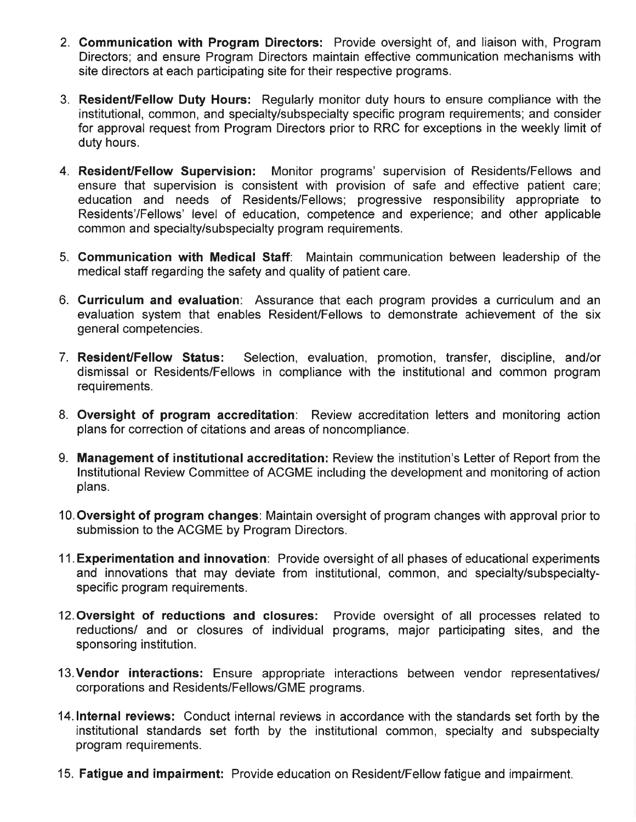- 2. Communication with Program Directors: Provide oversight of, and liaison with, Program Directors; and ensure Program Directors maintain effective communication mechanisms with site directors at each participating site for their respective programs.
- 3. Resident/Fellow Duty Hours: Regularly monitor duty hours to ensure compliance with the institutional, common, and specialty/subspecialty specific program requirements; and consider for approval request from Program Directors prior to RRC for exceptions in the weekly limit of duty hours.
- 4. Resident/Fellow Supervision: Monitor programs' supervision of Residents/Fellows and ensure that supervision is consistent with provision of safe and effective patient care; education and needs of Residents/Fellows; progressive responsibility appropriate to Residents'/Fellows' level of education, competence and experience; and other applicable common and specialty/subspecialty program requirements.
- 5. Communication with Medical Staff: Maintain communication between leadership of the medical staff regarding the safety and quality of patient care.
- 6. Curriculum and evaluation: Assurance that each program provides a curriculum and an evaluation system that enables Resident/Fellows to demonstrate achievement of the six general competencies.
- 7. Resident/Fellow Status: Selection, evaluation, promotion, transfer, discipline, and/or dismissal or Residents/Fellows in compliance with the institutional and common program requirements.
- 8. Oversight of program accreditation: Review accreditation letters and monitoring action plans for correction of citations and areas of noncompliance.
- 9. Management of institutional accreditation: Review the institution's Letter of Report from the Institutional Review Committee of ACGME including the development and monitoring of action plans.
- 10. Oversight of program changes: Maintain oversight of program changes with approval prior to submission to the ACGME by Program Directors.
- 11. Experimentation and innovation: Provide oversight of all phases of educational experiments and innovations that may deviate from institutional, common, and specialty/subspecialtyspecific program requirements.
- 12. Oversight of reductions and closures: Provide oversight of all processes related to reductions/ and or closures of individual programs, major participating sites, and the sponsoring institution.
- 13. Vendor interactions: Ensure appropriate interactions between vendor representatives/ corporations and Residents/Fellows/GME programs.
- 14. Internal reviews: Conduct internal reviews in accordance with the standards set forth by the institutional standards set forth by the institutional common, specialty and subspecialty program requirements.
- 15. Fatigue and impairment: Provide education on Resident/Fellow fatigue and impairment.